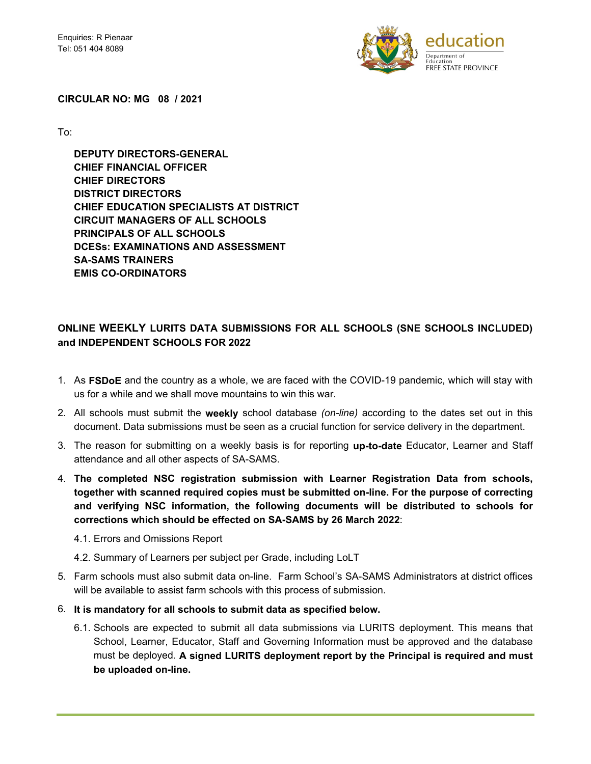

#### **CIRCULAR NO: MG 08 / 2021**

To:

 **DEPUTY DIRECTORS-GENERAL CHIEF FINANCIAL OFFICER CHIEF DIRECTORS DISTRICT DIRECTORS CHIEF EDUCATION SPECIALISTS AT DISTRICT CIRCUIT MANAGERS OF ALL SCHOOLS PRINCIPALS OF ALL SCHOOLS DCESs: EXAMINATIONS AND ASSESSMENT SA-SAMS TRAINERS EMIS CO-ORDINATORS** 

# **ONLINE WEEKLY LURITS DATA SUBMISSIONS FOR ALL SCHOOLS (SNE SCHOOLS INCLUDED) and INDEPENDENT SCHOOLS FOR 2022**

- 1. As **FSDoE** and the country as a whole, we are faced with the COVID-19 pandemic, which will stay with us for a while and we shall move mountains to win this war.
- 2. All schools must submit the **weekly** school database *(on-line)* according to the dates set out in this document. Data submissions must be seen as a crucial function for service delivery in the department.
- 3. The reason for submitting on a weekly basis is for reporting **up-to-date** Educator, Learner and Staff attendance and all other aspects of SA-SAMS.
- 4. **The completed NSC registration submission with Learner Registration Data from schools, together with scanned required copies must be submitted on-line. For the purpose of correcting and verifying NSC information, the following documents will be distributed to schools for corrections which should be effected on SA-SAMS by 26 March 2022**:
	- 4.1. Errors and Omissions Report
	- 4.2. Summary of Learners per subject per Grade, including LoLT
- 5. Farm schools must also submit data on-line. Farm School's SA-SAMS Administrators at district offices will be available to assist farm schools with this process of submission.
- 6. **It is mandatory for all schools to submit data as specified below.**
	- 6.1. Schools are expected to submit all data submissions via LURITS deployment. This means that School, Learner, Educator, Staff and Governing Information must be approved and the database must be deployed. **A signed LURITS deployment report by the Principal is required and must be uploaded on-line.**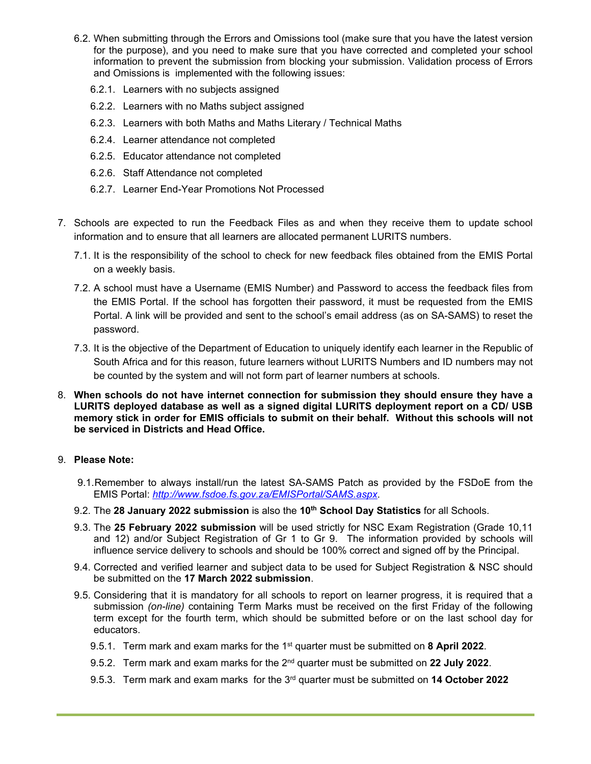- 6.2. When submitting through the Errors and Omissions tool (make sure that you have the latest version for the purpose), and you need to make sure that you have corrected and completed your school information to prevent the submission from blocking your submission. Validation process of Errors and Omissions is implemented with the following issues:
	- 6.2.1. Learners with no subjects assigned
	- 6.2.2. Learners with no Maths subject assigned
	- 6.2.3. Learners with both Maths and Maths Literary / Technical Maths
	- 6.2.4. Learner attendance not completed
	- 6.2.5. Educator attendance not completed
	- 6.2.6. Staff Attendance not completed
	- 6.2.7. Learner End-Year Promotions Not Processed
- 7. Schools are expected to run the Feedback Files as and when they receive them to update school information and to ensure that all learners are allocated permanent LURITS numbers.
	- 7.1. It is the responsibility of the school to check for new feedback files obtained from the EMIS Portal on a weekly basis.
	- 7.2. A school must have a Username (EMIS Number) and Password to access the feedback files from the EMIS Portal. If the school has forgotten their password, it must be requested from the EMIS Portal. A link will be provided and sent to the school's email address (as on SA-SAMS) to reset the password.
	- 7.3. It is the objective of the Department of Education to uniquely identify each learner in the Republic of South Africa and for this reason, future learners without LURITS Numbers and ID numbers may not be counted by the system and will not form part of learner numbers at schools.
- 8. **When schools do not have internet connection for submission they should ensure they have a LURITS deployed database as well as a signed digital LURITS deployment report on a CD/ USB memory stick in order for EMIS officials to submit on their behalf. Without this schools will not be serviced in Districts and Head Office.**

### 9. **Please Note:**

- 9.1. Remember to always install/run the latest SA-SAMS Patch as provided by the FSDoE from the EMIS Portal: *http://www.fsdoe.fs.gov.za/EMISPortal/SAMS.aspx*.
- 9.2. The **28 January 2022 submission** is also the **10th School Day Statistics** for all Schools.
- 9.3. The **25 February 2022 submission** will be used strictly for NSC Exam Registration (Grade 10,11 and 12) and/or Subject Registration of Gr 1 to Gr 9. The information provided by schools will influence service delivery to schools and should be 100% correct and signed off by the Principal.
- 9.4. Corrected and verified learner and subject data to be used for Subject Registration & NSC should be submitted on the **17 March 2022 submission**.
- 9.5. Considering that it is mandatory for all schools to report on learner progress, it is required that a submission *(on-line)* containing Term Marks must be received on the first Friday of the following term except for the fourth term, which should be submitted before or on the last school day for educators.
	- 9.5.1. Term mark and exam marks for the 1st quarter must be submitted on **8 April 2022**.
	- 9.5.2. Term mark and exam marks for the 2nd quarter must be submitted on **22 July 2022**.
	- 9.5.3. Term mark and exam marks for the 3rd quarter must be submitted on **14 October 2022**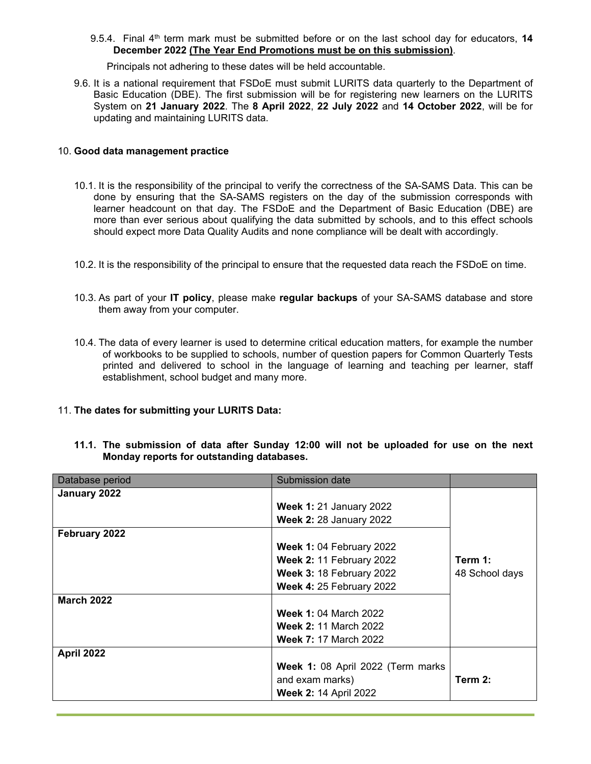9.5.4. Final 4th term mark must be submitted before or on the last school day for educators, **14 December 2022 (The Year End Promotions must be on this submission)**.

Principals not adhering to these dates will be held accountable.

9.6. It is a national requirement that FSDoE must submit LURITS data quarterly to the Department of Basic Education (DBE). The first submission will be for registering new learners on the LURITS System on **21 January 2022**. The **8 April 2022**, **22 July 2022** and **14 October 2022**, will be for updating and maintaining LURITS data.

### 10. **Good data management practice**

- 10.1. It is the responsibility of the principal to verify the correctness of the SA-SAMS Data. This can be done by ensuring that the SA-SAMS registers on the day of the submission corresponds with learner headcount on that day. The FSDoE and the Department of Basic Education (DBE) are more than ever serious about qualifying the data submitted by schools, and to this effect schools should expect more Data Quality Audits and none compliance will be dealt with accordingly.
- 10.2. It is the responsibility of the principal to ensure that the requested data reach the FSDoE on time.
- 10.3. As part of your **IT policy**, please make **regular backups** of your SA-SAMS database and store them away from your computer.
- 10.4. The data of every learner is used to determine critical education matters, for example the number of workbooks to be supplied to schools, number of question papers for Common Quarterly Tests printed and delivered to school in the language of learning and teaching per learner, staff establishment, school budget and many more.

### 11. **The dates for submitting your LURITS Data:**

| Database period   | Submission date                   |                |
|-------------------|-----------------------------------|----------------|
| January 2022      |                                   |                |
|                   | <b>Week 1: 21 January 2022</b>    |                |
|                   | <b>Week 2: 28 January 2022</b>    |                |
| February 2022     |                                   |                |
|                   | <b>Week 1: 04 February 2022</b>   |                |
|                   | <b>Week 2: 11 February 2022</b>   | Term 1:        |
|                   | <b>Week 3: 18 February 2022</b>   | 48 School days |
|                   | <b>Week 4: 25 February 2022</b>   |                |
| <b>March 2022</b> |                                   |                |
|                   | <b>Week 1: 04 March 2022</b>      |                |
|                   | <b>Week 2: 11 March 2022</b>      |                |
|                   | <b>Week 7: 17 March 2022</b>      |                |
| <b>April 2022</b> |                                   |                |
|                   | Week 1: 08 April 2022 (Term marks |                |
|                   | and exam marks)                   | Term 2:        |
|                   | <b>Week 2: 14 April 2022</b>      |                |

**11.1. The submission of data after Sunday 12:00 will not be uploaded for use on the next Monday reports for outstanding databases.**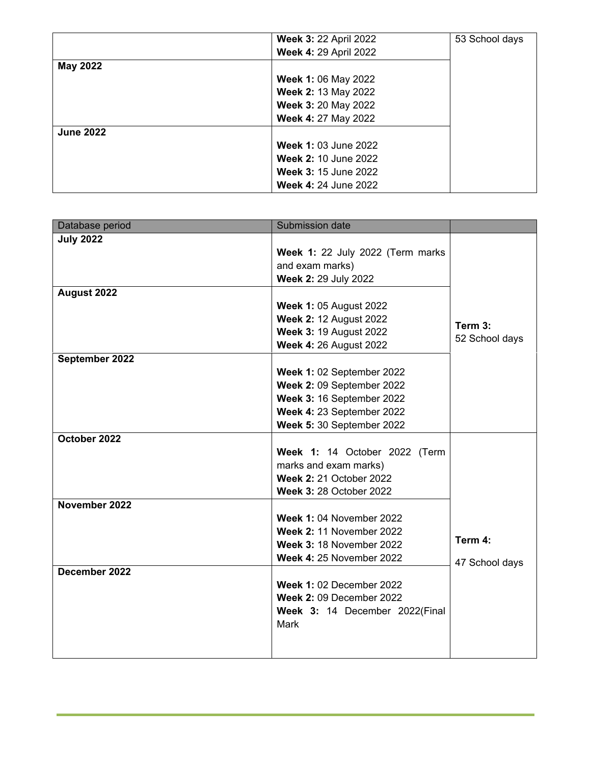|                  | <b>Week 3: 22 April 2022</b> | 53 School days |
|------------------|------------------------------|----------------|
|                  | <b>Week 4: 29 April 2022</b> |                |
| <b>May 2022</b>  |                              |                |
|                  | <b>Week 1: 06 May 2022</b>   |                |
|                  | Week 2: 13 May 2022          |                |
|                  | Week 3: 20 May 2022          |                |
|                  | Week 4: 27 May 2022          |                |
| <b>June 2022</b> |                              |                |
|                  | <b>Week 1: 03 June 2022</b>  |                |
|                  | <b>Week 2: 10 June 2022</b>  |                |
|                  | <b>Week 3: 15 June 2022</b>  |                |
|                  | <b>Week 4: 24 June 2022</b>  |                |

| Database period                                | Submission date                                                                                                                                                                                                                                                                                                                                                                               |                           |
|------------------------------------------------|-----------------------------------------------------------------------------------------------------------------------------------------------------------------------------------------------------------------------------------------------------------------------------------------------------------------------------------------------------------------------------------------------|---------------------------|
| <b>July 2022</b>                               | Week 1: 22 July 2022 (Term marks<br>and exam marks)<br>Week 2: 29 July 2022                                                                                                                                                                                                                                                                                                                   |                           |
| August 2022                                    | <b>Week 1: 05 August 2022</b><br><b>Week 2: 12 August 2022</b><br><b>Week 3: 19 August 2022</b><br><b>Week 4: 26 August 2022</b>                                                                                                                                                                                                                                                              | Term 3:<br>52 School days |
| September 2022                                 | Week 1: 02 September 2022<br>Week 2: 09 September 2022<br>Week 3: 16 September 2022<br>Week 4: 23 September 2022<br>Week 5: 30 September 2022                                                                                                                                                                                                                                                 |                           |
| October 2022<br>November 2022<br>December 2022 | Week 1: 14 October 2022 (Term<br>marks and exam marks)<br><b>Week 2: 21 October 2022</b><br><b>Week 3: 28 October 2022</b><br><b>Week 1: 04 November 2022</b><br><b>Week 2: 11 November 2022</b><br><b>Week 3: 18 November 2022</b><br><b>Week 4: 25 November 2022</b><br><b>Week 1: 02 December 2022</b><br><b>Week 2: 09 December 2022</b><br>Week 3: 14 December 2022(Final<br><b>Mark</b> | Term 4:<br>47 School days |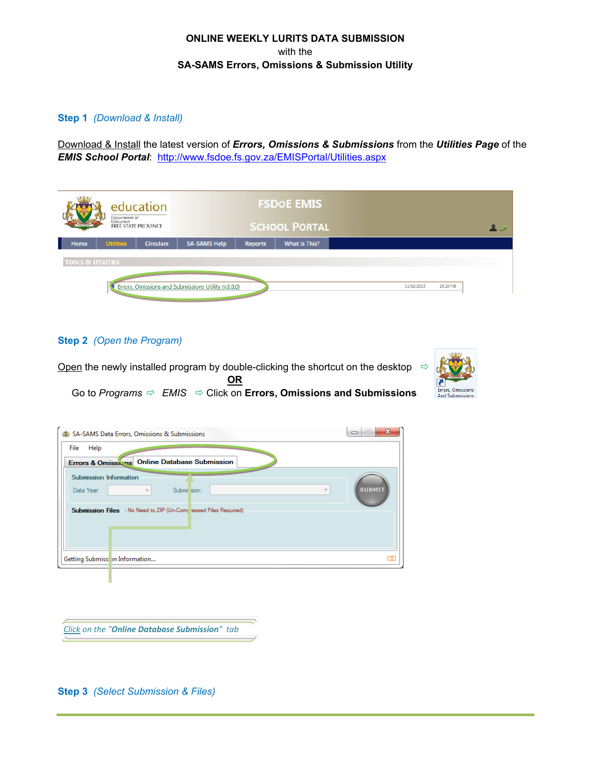# **ONLINE WEEKLY LURITS DATA SUBMISSION**  with the **SA-SAMS Errors, Omissions & Submission Utility**

### **Step 1** *(Download & Install)*

Download & Install the latest version of *Errors, Omissions & Submissions* from the *Utilities Page* of the *EMIS School Portal*: http://www.fsdoe.fs.gov.za/EMISPortal/Utilities.aspx

| education<br>Department of<br>Education<br><b>FREE STATE PROVINCE</b> |                                       | <b>FSDOE EMIS</b><br><b>SCHOOL PORTAL</b> |                        |  |
|-----------------------------------------------------------------------|---------------------------------------|-------------------------------------------|------------------------|--|
| <b>Utilities</b><br>Home<br><b>Circulars</b>                          | <b>SA-SAMS Help</b><br><b>Reports</b> | <b>What is This?</b>                      |                        |  |
| <b>TOOLS &amp; UTILITIES</b>                                          |                                       |                                           |                        |  |
|                                                                       |                                       |                                           |                        |  |
| Errors, Omissions and Submissions Utility (v3.0.0)                    |                                       |                                           | 13/02/2015<br>28.10 MB |  |

**Step 2** *(Open the Program)* 



| SA-SAMS Data Errors, Omissions & Submissions                                                                       |               |
|--------------------------------------------------------------------------------------------------------------------|---------------|
| File<br>Help<br>Errors & Omissions Online Database Submission                                                      |               |
| <b>Submission Information</b><br>Data Year:<br>Submi sion:<br>$\overline{\phantom{a}}$<br>$\overline{\phantom{a}}$ | <b>SUBMIT</b> |
| Submission Files - No Need to ZIP (Un-Complessed Files Required)                                                   |               |
| Getting Submissi on Information                                                                                    |               |
|                                                                                                                    |               |

*Click on the "Online Database Submission" tab*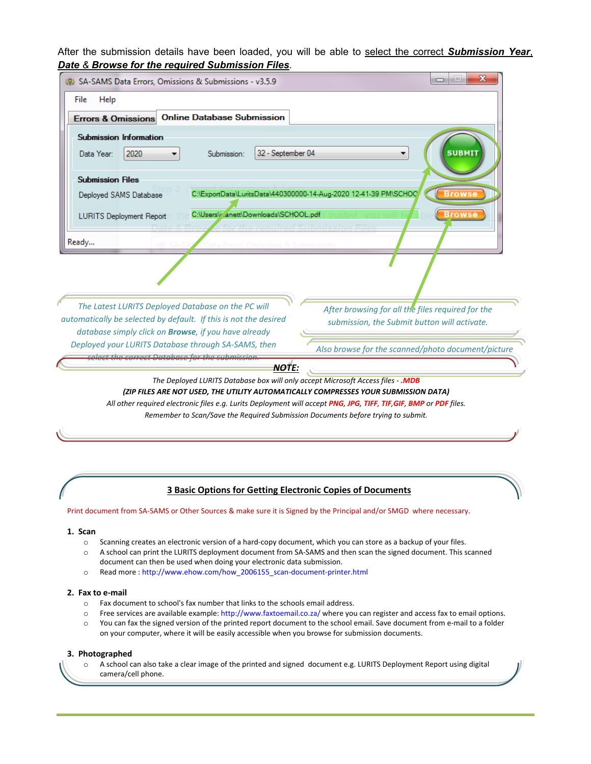After the submission details have been loaded, you will be able to select the correct *Submission Year*, *Date & Browse for the required Submission Files*.

| SA-SAMS Data Errors, Omissions & Submissions - v3.5.9                                                                                                                                                                                                                                        | $\mathbf x$<br>-                                                                  |
|----------------------------------------------------------------------------------------------------------------------------------------------------------------------------------------------------------------------------------------------------------------------------------------------|-----------------------------------------------------------------------------------|
| Help<br>File                                                                                                                                                                                                                                                                                 |                                                                                   |
| <b>Online Database Submission</b><br><b>Errors &amp; Omissions</b>                                                                                                                                                                                                                           |                                                                                   |
| <b>Submission Information</b><br>32 - September 04<br>2020<br>Data Year:<br>Submission:                                                                                                                                                                                                      | <b>SUBMIT</b>                                                                     |
| <b>Submission Files</b>                                                                                                                                                                                                                                                                      |                                                                                   |
| Deployed SAMS Database                                                                                                                                                                                                                                                                       | C:\ExportData\LuritsData\440300000-14-Aug-2020 12-41-39 PM\SCHOO<br><b>Browse</b> |
| C:\Users\v.anett\Downloads\SCHOOL.pdf<br><b>LURITS Deployment Report</b><br>Ready                                                                                                                                                                                                            | <b>Browse</b>                                                                     |
| The Latest LURITS Deployed Database on the PC will                                                                                                                                                                                                                                           | After browsing for all the files required for the                                 |
| automatically be selected by default. If this is not the desired<br>database simply click on <b>Browse</b> , if you have already                                                                                                                                                             | submission, the Submit button will activate.                                      |
| Deployed your LURITS Database through SA-SAMS, then                                                                                                                                                                                                                                          | Also browse for the scanned/photo document/picture                                |
| <b>NOTE:</b>                                                                                                                                                                                                                                                                                 |                                                                                   |
| The Deployed LURITS Database box will only accept Microsoft Access files - .MDB<br>(ZIP FILES ARE NOT USED, THE UTILITY AUTOMATICALLY COMPRESSES YOUR SUBMISSION DATA)<br>All other required electronic files e.g. Lurits Deployment will accept PNG, JPG, TIFF, TIF, GIF, BMP or PDF files. |                                                                                   |

*Remember to Scan/Save the Required Submission Documents before trying to submit.*

# **3 Basic Options for Getting Electronic Copies of Documents**

Print document from SA-SAMS or Other Sources & make sure it is Signed by the Principal and/or SMGD where necessary.

#### **1. Scan**

- o Scanning creates an electronic version of a hard‐copy document, which you can store as a backup of your files.
- o A school can print the LURITS deployment document from SA‐SAMS and then scan the signed document. This scanned document can then be used when doing your electronic data submission.
- o Read more : http://www.ehow.com/how\_2006155\_scan‐document‐printer.html

#### **2. Fax to e‐mail**

- o Fax document to school's fax number that links to the schools email address.
- $\circ$  Free services are available example: http://www.faxtoemail.co.za/ where you can register and access fax to email options.
- o You can fax the signed version of the printed report document to the school email. Save document from e‐mail to a folder on your computer, where it will be easily accessible when you browse for submission documents.

#### **3. Photographed**

o A school can also take a clear image of the printed and signed document e.g. LURITS Deployment Report using digital camera/cell phone.